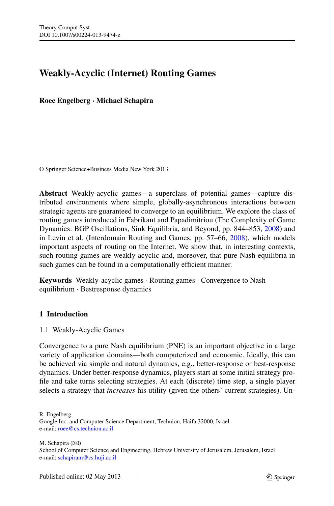# **Weakly-Acyclic (Internet) Routing Games**

**Roee Engelberg · Michael Schapira**

© Springer Science+Business Media New York 2013

**Abstract** Weakly-acyclic games—a superclass of potential games—capture distributed environments where simple, globally-asynchronous interactions between strategic agents are guaranteed to converge to an equilibrium. We explore the class of routing games introduced in Fabrikant and Papadimitriou (The Complexity of Game Dynamics: BGP Oscillations, Sink Equilibria, and Beyond, pp. 844–853, [2008](#page-20-0)) and in Levin et al. (Interdomain Routing and Games, pp. 57–66, [2008\)](#page-21-0), which models important aspects of routing on the Internet. We show that, in interesting contexts, such routing games are weakly acyclic and, moreover, that pure Nash equilibria in such games can be found in a computationally efficient manner.

**Keywords** Weakly-acyclic games · Routing games · Convergence to Nash equilibrium · Bestresponse dynamics

# **1 Introduction**

1.1 Weakly-Acyclic Games

Convergence to a pure Nash equilibrium (PNE) is an important objective in a large variety of application domains—both computerized and economic. Ideally, this can be achieved via simple and natural dynamics, e.g., better-response or best-response dynamics. Under better-response dynamics, players start at some initial strategy profile and take turns selecting strategies. At each (discrete) time step, a single player selects a strategy that *increases* his utility (given the others' current strategies). Un-

R. Engelberg

M. Schapira ( $\boxtimes$ ) School of Computer Science and Engineering, Hebrew University of Jerusalem, Jerusalem, Israel e-mail: [schapiram@cs.huji.ac.il](mailto:schapiram@cs.huji.ac.il)

Google Inc. and Computer Science Department, Technion, Haifa 32000, Israel e-mail: [roee@cs.technion.ac.il](mailto:roee@cs.technion.ac.il)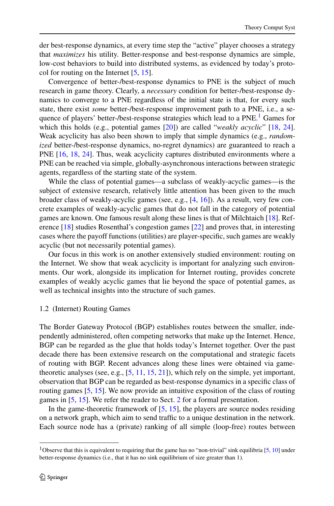der best-response dynamics, at every time step the "active" player chooses a strategy that *maximizes* his utility. Better-response and best-response dynamics are simple, low-cost behaviors to build into distributed systems, as evidenced by today's protocol for routing on the Internet [[5,](#page-20-0) [15\]](#page-21-0).

Convergence of better-/best-response dynamics to PNE is the subject of much research in game theory. Clearly, a *necessary* condition for better-/best-response dynamics to converge to a PNE regardless of the initial state is that, for every such state, there exist *some* better-/best-response improvement path to a PNE, i.e., a se-quence of players' better-/best-response strategies which lead to a PNE.<sup>[1](#page-1-0)</sup> Games for which this holds (e.g., potential games [[20\]](#page-21-1)) are called "*weakly acyclic*" [[18,](#page-21-2) [24\]](#page-21-3). Weak acyclicity has also been shown to imply that simple dynamics (e.g., *randomized* better-/best-response dynamics, no-regret dynamics) are guaranteed to reach a PNE [\[16,](#page-21-4) [18](#page-21-2), [24](#page-21-3)]. Thus, weak acyclicity captures distributed environments where a PNE can be reached via simple, globally-asynchronous interactions between strategic agents, regardless of the starting state of the system.

While the class of potential games—a subclass of weakly-acyclic games—is the subject of extensive research, relatively little attention has been given to the much broader class of weakly-acyclic games (see, e.g., [\[4](#page-20-1), [16](#page-21-4)]). As a result, very few concrete examples of weakly-acyclic games that do not fall in the category of potential games are known. One famous result along these lines is that of Milchtaich [[18\]](#page-21-2). Reference [[18\]](#page-21-2) studies Rosenthal's congestion games [\[22](#page-21-5)] and proves that, in interesting cases where the payoff functions (utilities) are player-specific, such games are weakly acyclic (but not necessarily potential games).

Our focus in this work is on another extensively studied environment: routing on the Internet. We show that weak acyclicity is important for analyzing such environments. Our work, alongside its implication for Internet routing, provides concrete examples of weakly acyclic games that lie beyond the space of potential games, as well as technical insights into the structure of such games.

#### 1.2 (Internet) Routing Games

The Border Gateway Protocol (BGP) establishes routes between the smaller, independently administered, often competing networks that make up the Internet. Hence, BGP can be regarded as the glue that holds today's Internet together. Over the past decade there has been extensive research on the computational and strategic facets of routing with BGP. Recent advances along these lines were obtained via gametheoretic analyses (see, e.g., [[5,](#page-20-0) [11,](#page-21-6) [15](#page-21-0), [21](#page-21-7)]), which rely on the simple, yet important, observation that BGP can be regarded as best-response dynamics in a specific class of routing games [\[5](#page-20-0), [15](#page-21-0)]. We now provide an intuitive exposition of the class of routing games in [\[5](#page-20-0), [15](#page-21-0)]. We refer the reader to Sect. [2](#page-4-0) for a formal presentation.

<span id="page-1-0"></span>In the game-theoretic framework of  $[5, 15]$  $[5, 15]$  $[5, 15]$  $[5, 15]$ , the players are source nodes residing on a network graph, which aim to send traffic to a unique destination in the network. Each source node has a (private) ranking of all simple (loop-free) routes between

<sup>&</sup>lt;sup>1</sup>Observe that this is equivalent to requiring that the game has no "non-trivial" sink equilibria [\[5](#page-20-0), [10\]](#page-21-8) under better-response dynamics (i.e., that it has no sink equilibrium of size greater than 1).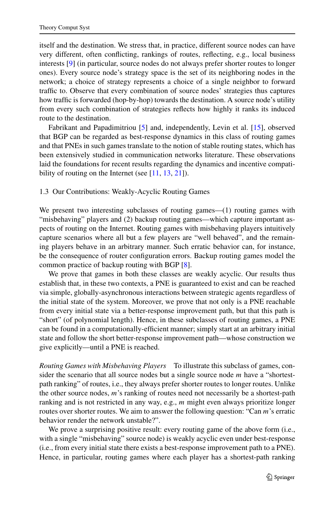itself and the destination. We stress that, in practice, different source nodes can have very different, often conflicting, rankings of routes, reflecting, e.g., local business interests [[9\]](#page-20-2) (in particular, source nodes do not always prefer shorter routes to longer ones). Every source node's strategy space is the set of its neighboring nodes in the network; a choice of strategy represents a choice of a single neighbor to forward traffic to. Observe that every combination of source nodes' strategies thus captures how traffic is forwarded (hop-by-hop) towards the destination. A source node's utility from every such combination of strategies reflects how highly it ranks its induced route to the destination.

Fabrikant and Papadimitriou [\[5](#page-20-0)] and, independently, Levin et al. [[15](#page-21-0)], observed that BGP can be regarded as best-response dynamics in this class of routing games and that PNEs in such games translate to the notion of stable routing states, which has been extensively studied in communication networks literature. These observations laid the foundations for recent results regarding the dynamics and incentive compati-bility of routing on the Internet (see [[11,](#page-21-6) [13,](#page-21-9) [21\]](#page-21-7)).

1.3 Our Contributions: Weakly-Acyclic Routing Games

We present two interesting subclasses of routing games—(1) routing games with "misbehaving" players and (2) backup routing games—which capture important aspects of routing on the Internet. Routing games with misbehaving players intuitively capture scenarios where all but a few players are "well behaved", and the remaining players behave in an arbitrary manner. Such erratic behavior can, for instance, be the consequence of router configuration errors. Backup routing games model the common practice of backup routing with BGP [[8\]](#page-20-3).

We prove that games in both these classes are weakly acyclic. Our results thus establish that, in these two contexts, a PNE is guaranteed to exist and can be reached via simple, globally-asynchronous interactions between strategic agents regardless of the initial state of the system. Moreover, we prove that not only is a PNE reachable from every initial state via a better-response improvement path, but that this path is "short" (of polynomial length). Hence, in these subclasses of routing games, a PNE can be found in a computationally-efficient manner; simply start at an arbitrary initial state and follow the short better-response improvement path—whose construction we give explicitly—until a PNE is reached.

*Routing Games with Misbehaving Players* To illustrate this subclass of games, consider the scenario that all source nodes but a single source node *m* have a "shortestpath ranking" of routes, i.e., they always prefer shorter routes to longer routes. Unlike the other source nodes, *m*'s ranking of routes need not necessarily be a shortest-path ranking and is not restricted in any way, e.g., *m* might even always prioritize longer routes over shorter routes. We aim to answer the following question: "Can *m*'s erratic behavior render the network unstable?".

We prove a surprising positive result: every routing game of the above form (i.e., with a single "misbehaving" source node) is weakly acyclic even under best-response (i.e., from every initial state there exists a best-response improvement path to a PNE). Hence, in particular, routing games where each player has a shortest-path ranking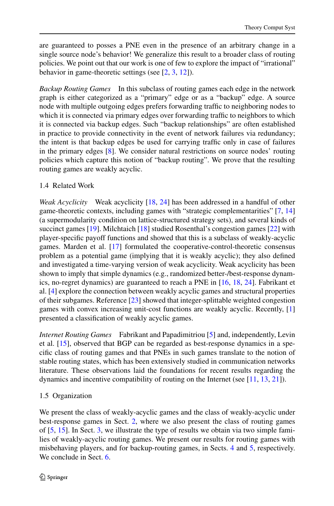are guaranteed to posses a PNE even in the presence of an arbitrary change in a single source node's behavior! We generalize this result to a broader class of routing policies. We point out that our work is one of few to explore the impact of "irrational" behavior in game-theoretic settings (see [\[2](#page-20-4), [3](#page-20-5), [12](#page-21-10)]).

*Backup Routing Games* In this subclass of routing games each edge in the network graph is either categorized as a "primary" edge or as a "backup" edge. A source node with multiple outgoing edges prefers forwarding traffic to neighboring nodes to which it is connected via primary edges over forwarding traffic to neighbors to which it is connected via backup edges. Such "backup relationships" are often established in practice to provide connectivity in the event of network failures via redundancy; the intent is that backup edges be used for carrying traffic only in case of failures in the primary edges [\[8](#page-20-3)]. We consider natural restrictions on source nodes' routing policies which capture this notion of "backup routing". We prove that the resulting routing games are weakly acyclic.

# 1.4 Related Work

*Weak Acyclicity* Weak acyclicity [[18,](#page-21-2) [24](#page-21-3)] has been addressed in a handful of other game-theoretic contexts, including games with "strategic complementarities" [\[7](#page-20-6), [14](#page-21-11)] (a supermodularity condition on lattice-structured strategy sets), and several kinds of succinct games [[19](#page-21-12)]. Milchtaich [\[18](#page-21-2)] studied Rosenthal's congestion games [\[22](#page-21-5)] with player-specific payoff functions and showed that this is a subclass of weakly-acyclic games. Marden et al. [\[17\]](#page-21-13) formulated the cooperative-control-theoretic consensus problem as a potential game (implying that it is weakly acyclic); they also defined and investigated a time-varying version of weak acyclicity. Weak acyclicity has been shown to imply that simple dynamics (e.g., randomized better-/best-response dynamics, no-regret dynamics) are guaranteed to reach a PNE in [\[16](#page-21-4), [18,](#page-21-2) [24\]](#page-21-3). Fabrikant et al. [[4\]](#page-20-1) explore the connection between weakly acyclic games and structural properties of their subgames. Reference [\[23](#page-21-14)] showed that integer-splittable weighted congestion games with convex increasing unit-cost functions are weakly acyclic. Recently, [\[1](#page-20-7)] presented a classification of weakly acyclic games.

*Internet Routing Games* Fabrikant and Papadimitriou [[5](#page-20-0)] and, independently, Levin et al. [\[15](#page-21-0)], observed that BGP can be regarded as best-response dynamics in a specific class of routing games and that PNEs in such games translate to the notion of stable routing states, which has been extensively studied in communication networks literature. These observations laid the foundations for recent results regarding the dynamics and incentive compatibility of routing on the Internet (see [\[11](#page-21-6), [13](#page-21-9), [21\]](#page-21-7)).

# 1.5 Organization

We present the class of weakly-acyclic games and the class of weakly-acyclic under best-response games in Sect. [2](#page-4-0), where we also present the class of routing games of [\[5](#page-20-0), [15](#page-21-0)]. In Sect. [3,](#page-5-0) we illustrate the type of results we obtain via two simple families of weakly-acyclic routing games. We present our results for routing games with misbehaving players, and for backup-routing games, in Sects. [4](#page-8-0) and [5,](#page-12-0) respectively. We conclude in Sect. [6](#page-20-8).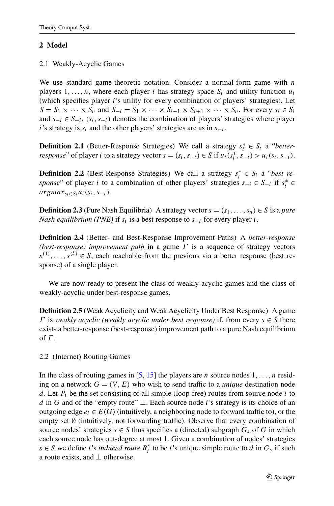# <span id="page-4-0"></span>**2 Model**

2.1 Weakly-Acyclic Games

We use standard game-theoretic notation. Consider a normal-form game with *n* players  $1, \ldots, n$ , where each player *i* has strategy space  $S_i$  and utility function  $u_i$ (which specifies player *i*'s utility for every combination of players' strategies). Let  $S = S_1 \times \cdots \times S_n$  and  $S_{-i} = S_1 \times \cdots \times S_{i-1} \times S_{i+1} \times \cdots \times S_n$ . For every  $s_i \in S_i$ and  $s_{-i} \in S_{-i}$ ,  $(s_i, s_{-i})$  denotes the combination of players' strategies where player *i*'s strategy is *si* and the other players' strategies are as in *s*−*i*.

**Definition 2.1** (Better-Response Strategies) We call a strategy  $s_i^* \in S_i$  a "*betterresponse*" of player *i* to a strategy vector  $s = (s_i, s_{-i}) \in S$  if  $u_i(s_i^*, s_{-i}) > u_i(s_i, s_{-i})$ .

**Definition 2.2** (Best-Response Strategies) We call a strategy  $s_i^* \in S_i$  a "*best response*" of player *i* to a combination of other players' strategies  $s_{-i} \in S_{-i}$  if  $s_i^* \in$  $argmax_{s_i \in S_i} u_i(s_i, s_{-i}).$ 

**Definition 2.3** (Pure Nash Equilibria) A strategy vector  $s = (s_1, \ldots, s_n) \in S$  is a *pure Nash equilibrium (PNE)* if  $s_i$  is a best response to  $s_{-i}$  for every player *i*.

**Definition 2.4** (Better- and Best-Response Improvement Paths) A *better-response (best-response) improvement path* in a game *Γ* is a sequence of strategy vectors  $s^{(1)}, \ldots, s^{(k)} \in S$ , each reachable from the previous via a better response (best response) of a single player.

We are now ready to present the class of weakly-acyclic games and the class of weakly-acyclic under best-response games.

**Definition 2.5** (Weak Acyclicity and Weak Acyclicity Under Best Response) A game *Γ* is *weakly acyclic (weakly acyclic under best response)* if, from every *s* ∈ *S* there exists a better-response (best-response) improvement path to a pure Nash equilibrium of *Γ* .

# 2.2 (Internet) Routing Games

In the class of routing games in [[5](#page-20-0), [15](#page-21-0)] the players are *n* source nodes 1*,...,n* residing on a network  $G = (V, E)$  who wish to send traffic to a *unique* destination node *d*. Let  $P_i$  be the set consisting of all simple (loop-free) routes from source node *i* to *d* in *G* and of the "empty route" ⊥. Each source node *i*'s strategy is its choice of an outgoing edge  $e_i \in E(G)$  (intuitively, a neighboring node to forward traffic to), or the empty set  $\emptyset$  (intuitively, not forwarding traffic). Observe that every combination of source nodes' strategies  $s \in S$  thus specifies a (directed) subgraph  $G_s$  of *G* in which each source node has out-degree at most 1. Given a combination of nodes' strategies  $s \in S$  we define *i*'s *induced route*  $R_i^s$  to be *i*'s unique simple route to *d* in  $G_s$  if such a route exists, and  $\perp$  otherwise.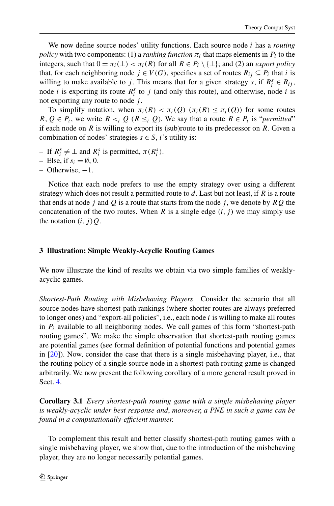We now define source nodes' utility functions. Each source node *i* has a *routing policy* with two components: (1) a *ranking function*  $\pi_i$  that maps elements in  $P_i$  to the integers, such that  $0 = \pi_i(\perp) < \pi_i(R)$  for all  $R \in P_i \setminus \{\perp\}$ ; and (2) an *export policy* that, for each neighboring node  $j \in V(G)$ , specifies a set of routes  $R_{ij} \subseteq P_i$  that *i* is willing to make available to *j*. This means that for a given strategy *s*, if  $R_i^s \in R_{ij}$ , node *i* is exporting its route  $R_i^s$  to *j* (and only this route), and otherwise, node *i* is not exporting any route to node *j* .

To simplify notation, when  $\pi_i(R) < \pi_i(Q)$  ( $\pi_i(R) \leq \pi_i(Q)$ ) for some routes *R*,  $Q \in P_i$ , we write  $R \leq_i Q$  ( $R \leq_i Q$ ). We say that a route  $R \in P_i$  is "*permitted*" if each node on *R* is willing to export its (sub)route to its predecessor on *R*. Given a combination of nodes' strategies  $s \in S$ , *i*'s utility is:

- $-$  If  $R_i^s$  ≠ ⊥ and  $R_i^s$  is permitted,  $\pi(R_i^s)$ .
- $-$  Else, if  $s_i = \emptyset$ , 0.
- Otherwise, −1.

<span id="page-5-0"></span>Notice that each node prefers to use the empty strategy over using a different strategy which does not result a permitted route to *d*. Last but not least, if *R* is a route that ends at node *j* and *Q* is a route that starts from the node *j* , we denote by *RQ* the concatenation of the two routes. When  $R$  is a single edge  $(i, j)$  we may simply use the notation  $(i, j)Q$ .

#### **3 Illustration: Simple Weakly-Acyclic Routing Games**

We now illustrate the kind of results we obtain via two simple families of weaklyacyclic games.

*Shortest-Path Routing with Misbehaving Players* Consider the scenario that all source nodes have shortest-path rankings (where shorter routes are always preferred to longer ones) and "export-all policies", i.e., each node *i* is willing to make all routes in *Pi* available to all neighboring nodes. We call games of this form "shortest-path routing games". We make the simple observation that shortest-path routing games are potential games (see formal definition of potential functions and potential games in [\[20](#page-21-1)]). Now, consider the case that there is a single misbehaving player, i.e., that the routing policy of a single source node in a shortest-path routing game is changed arbitrarily. We now present the following corollary of a more general result proved in Sect. [4.](#page-8-0)

**Corollary 3.1** *Every shortest-path routing game with a single misbehaving player is weakly-acyclic under best response and*, *moreover*, *a PNE in such a game can be found in a computationally-efficient manner*.

To complement this result and better classify shortest-path routing games with a single misbehaving player, we show that, due to the introduction of the misbehaving player, they are no longer necessarily potential games.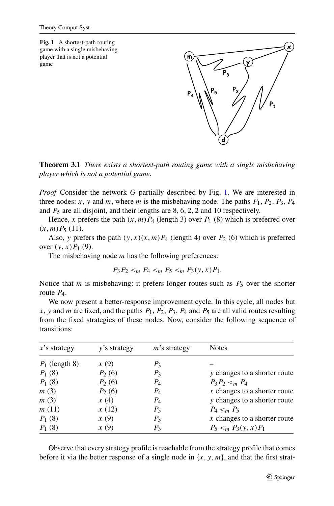<span id="page-6-0"></span>**Fig. 1** A shortest-path routing game with a single misbehaving player that is not a potential game



**Theorem 3.1** *There exists a shortest-path routing game with a single misbehaving player which is not a potential game*.

*Proof* Consider the network *G* partially described by Fig. [1.](#page-6-0) We are interested in three nodes: *x*, *y* and *m*, where *m* is the misbehaving node. The paths  $P_1$ ,  $P_2$ ,  $P_3$ ,  $P_4$ and *P*<sup>5</sup> are all disjoint, and their lengths are 8*,* 6*,* 2*,* 2 and 10 respectively.

Hence, *x* prefers the path  $(x, m)P_4$  (length 3) over  $P_1$  (8) which is preferred over  $(x, m)P_5(11)$ .

Also, *y* prefers the path  $(y, x)(x, m)P_4$  (length 4) over  $P_2$  (6) which is preferred over  $(y, x)P_1(9)$ .

The misbehaving node *m* has the following preferences:

$$
P_3 P_2 <_m P_4 <_m P_5 <_m P_3(y, x) P_1.
$$

Notice that *m* is misbehaving: it prefers longer routes such as  $P_5$  over the shorter route *P*4.

We now present a better-response improvement cycle. In this cycle, all nodes but  $x, y$  and *m* are fixed, and the paths  $P_1, P_2, P_3, P_4$  and  $P_5$  are all valid routes resulting from the fixed strategies of these nodes. Now, consider the following sequence of transitions:

| $x$ 's strategy  | $y$ 's strategy | $m$ 's strategy | <b>Notes</b>                   |
|------------------|-----------------|-----------------|--------------------------------|
| $P_1$ (length 8) | x(9)            | $P_3$           |                                |
| $P_1(8)$         | $P_2(6)$        | $P_3$           | y changes to a shorter route   |
| $P_1(8)$         | $P_2(6)$        | $P_4$           | $P_3P_2 <_{m} P_4$             |
| m(3)             | $P_2(6)$        | $P_4$           | $x$ changes to a shorter route |
| m(3)             | x(4)            | $P_4$           | y changes to a shorter route   |
| m(11)            | x(12)           | $P_5$           | $P_4 <_{m} P_5$                |
| $P_1(8)$         | x(9)            | $P_5$           | $x$ changes to a shorter route |
| $P_1(8)$         | x(9)            | $P_3$           | $P_5 <_{m} P_3(y, x)P_1$       |

Observe that every strategy profile is reachable from the strategy profile that comes before it via the better response of a single node in  $\{x, y, m\}$ , and that the first strat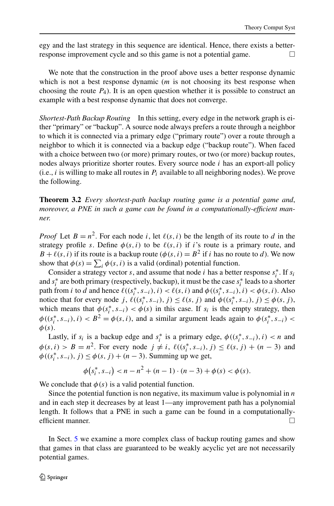egy and the last strategy in this sequence are identical. Hence, there exists a betterresponse improvement cycle and so this game is not a potential game.  $\Box$ 

We note that the construction in the proof above uses a better response dynamic which is not a best response dynamic (*m* is not choosing its best response when choosing the route  $P_4$ ). It is an open question whether it is possible to construct an example with a best response dynamic that does not converge.

*Shortest-Path Backup Routing* In this setting, every edge in the network graph is either "primary" or "backup". A source node always prefers a route through a neighbor to which it is connected via a primary edge ("primary route") over a route through a neighbor to which it is connected via a backup edge ("backup route"). When faced with a choice between two (or more) primary routes, or two (or more) backup routes, nodes always prioritize shorter routes. Every source node *i* has an export-all policy (i.e.,  $i$  is willing to make all routes in  $P_i$  available to all neighboring nodes). We prove the following.

**Theorem 3.2** *Every shortest-path backup routing game is a potential game and*, *moreover*, *a PNE in such a game can be found in a computationally-efficient manner*.

*Proof* Let  $B = n^2$ . For each node *i*, let  $\ell(s, i)$  be the length of its route to *d* in the strategy profile *s*. Define  $\phi(s, i)$  to be  $\ell(s, i)$  if *i*'s route is a primary route, and  $B + \ell(s, i)$  if its route is a backup route ( $\phi(s, i) = B^2$  if *i* has no route to *d*). We now show that  $\phi(s) = \sum_i \phi(s, i)$  is a valid (ordinal) potential function.

Consider a strategy vector *s*, and assume that node *i* has a better response  $s_i^*$ . If  $s_i$ and  $s_i^*$  are both primary (respectively, backup), it must be the case  $s_i^*$  leads to a shorter path from *i* to *d* and hence  $\ell((s_i^*, s_{-i}), i) < \ell(s, i)$  and  $\phi((s_i^*, s_{-i}), i) < \phi(s, i)$ . Also notice that for every node  $j$ ,  $\ell((s_i^*, s_{-i}), j) \leq \ell(s, j)$  and  $\phi((s_i^*, s_{-i}), j) \leq \phi(s, j)$ , which means that  $\phi(s_i^*, s_{-i}) < \phi(s)$  in this case. If  $s_i$  is the empty strategy, then  $\phi((s_i^*, s_{-i}), i) < B^2 = \phi(s, i)$ , and a similar argument leads again to  $\phi(s_i^*, s_{-i})$ *φ(s)*.

Lastly, if  $s_i$  is a backup edge and  $s_i^*$  is a primary edge,  $\phi((s_i^*, s_{-i}), i) < n$  and  $\phi(s, i) > B = n^2$ . For every node  $j \neq i$ ,  $\ell((s_i^*, s_{-i}), j) \leq \ell(s, j) + (n - 3)$  and  $\phi((s_i^*, s_{-i}), j) \leq \phi(s, j) + (n - 3)$ . Summing up we get,

$$
\phi(s_i^*, s_{-i}) < n - n^2 + (n - 1) \cdot (n - 3) + \phi(s) < \phi(s).
$$

We conclude that  $\phi(s)$  is a valid potential function.

Since the potential function is non negative, its maximum value is polynomial in *n* and in each step it decreases by at least 1—any improvement path has a polynomial length. It follows that a PNE in such a game can be found in a computationallyefficient manner.  $\Box$ 

In Sect. [5](#page-12-0) we examine a more complex class of backup routing games and show that games in that class are guaranteed to be weakly acyclic yet are not necessarily potential games.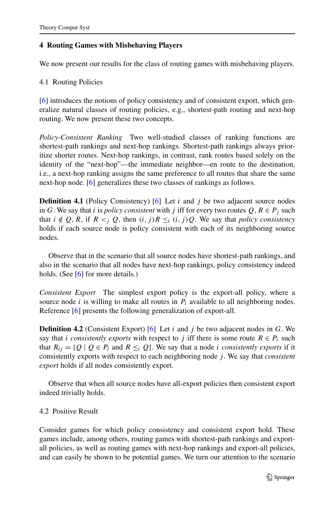# <span id="page-8-0"></span>**4 Routing Games with Misbehaving Players**

We now present our results for the class of routing games with misbehaving players.

#### 4.1 Routing Policies

[\[6](#page-20-9)] introduces the notions of policy consistency and of consistent export, which generalize natural classes of routing policies, e.g., shortest-path routing and next-hop routing. We now present these two concepts.

*Policy-Consistent Ranking* Two well-studied classes of ranking functions are shortest-path rankings and next-hop rankings. Shortest-path rankings always prioritize shorter routes. Next-hop rankings, in contrast, rank routes based solely on the identity of the "next-hop"—the immediate neighbor—en route to the destination, i.e., a next-hop ranking assigns the same preference to all routes that share the same next-hop node. [\[6](#page-20-9)] generalizes these two classes of rankings as follows.

**Definition 4.1** (Policy Consistency) [[6\]](#page-20-9) Let *i* and *j* be two adjacent source nodes in *G*. We say that *i* is *policy consistent* with *j* iff for every two routes  $Q, R \in P_j$  such that  $i \notin Q$ , R, if  $R \leq j Q$ , then  $(i, j)R \leq i (i, j)Q$ . We say that *policy consistency* holds if each source node is policy consistent with each of its neighboring source nodes.

Observe that in the scenario that all source nodes have shortest-path rankings, and also in the scenario that all nodes have next-hop rankings, policy consistency indeed holds. (See [[6\]](#page-20-9) for more details.)

*Consistent Export* The simplest export policy is the export-all policy, where a source node *i* is willing to make all routes in  $P_i$  available to all neighboring nodes. Reference [\[6\]](#page-20-9) presents the following generalization of export-all.

**Definition 4.2** (Consistent Export) [\[6](#page-20-9)] Let *i* and *j* be two adjacent nodes in *G*. We say that *i* consistently exports with respect to *j* iff there is some route  $R \in P_i$  such that  $R_{ij} = \{Q \mid Q \in P_i \text{ and } R \leq i Q\}$ . We say that a node *i* consistently exports if it consistently exports with respect to each neighboring node *j* . We say that *consistent export* holds if all nodes consistently export.

Observe that when all source nodes have all-export policies then consistent export indeed trivially holds.

# 4.2 Positive Result

Consider games for which policy consistency and consistent export hold. These games include, among others, routing games with shortest-path rankings and exportall policies, as well as routing games with next-hop rankings and export-all policies, and can easily be shown to be potential games. We turn our attention to the scenario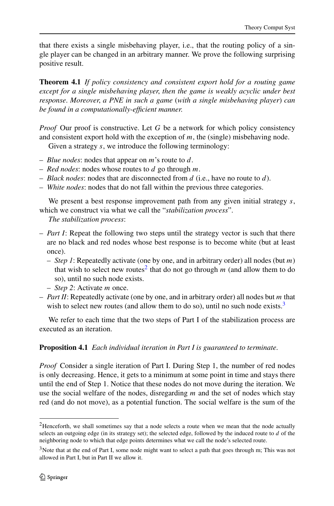that there exists a single misbehaving player, i.e., that the routing policy of a single player can be changed in an arbitrary manner. We prove the following surprising positive result.

**Theorem 4.1** *If policy consistency and consistent export hold for a routing game except for a single misbehaving player*, *then the game is weakly acyclic under best response*. *Moreover*, *a PNE in such a game* (*with a single misbehaving player*) *can be found in a computationally-efficient manner*.

*Proof* Our proof is constructive. Let G be a network for which policy consistency and consistent export hold with the exception of  $m$ , the (single) misbehaving node.

Given a strategy *s*, we introduce the following terminology:

- *Blue nodes*: nodes that appear on *m*'s route to *d*.
- *Red nodes*: nodes whose routes to *d* go through *m*.
- *Black nodes*: nodes that are disconnected from *d* (i.e., have no route to *d*).
- *White nodes*: nodes that do not fall within the previous three categories.

We present a best response improvement path from any given initial strategy *s*, which we construct via what we call the "*stabilization process*".

*The stabilization process*:

- *Part I*: Repeat the following two steps until the strategy vector is such that there are no black and red nodes whose best response is to become white (but at least once).
	- *Step 1*: Repeatedly activate (one by one, and in arbitrary order) all nodes (but *m*) that wish to select new routes<sup>2</sup> that do not go through  $m$  (and allow them to do so), until no such node exists.
	- *Step 2*: Activate *m* once.
- *Part II*: Repeatedly activate (one by one, and in arbitrary order) all nodes but *m* that wish to select new routes (and allow them to do so), until no such node exists. $3$

We refer to each time that the two steps of Part I of the stabilization process are executed as an iteration.

# **Proposition 4.1** *Each individual iteration in Part I is guaranteed to terminate*.

<span id="page-9-1"></span><span id="page-9-0"></span>*Proof* Consider a single iteration of Part I. During Step 1, the number of red nodes is only decreasing. Hence, it gets to a minimum at some point in time and stays there until the end of Step 1. Notice that these nodes do not move during the iteration. We use the social welfare of the nodes, disregarding *m* and the set of nodes which stay red (and do not move), as a potential function. The social welfare is the sum of the

<sup>&</sup>lt;sup>2</sup>Henceforth, we shall sometimes say that a node selects a route when we mean that the node actually selects an outgoing edge (in its strategy set); the selected edge, followed by the induced route to *d* of the neighboring node to which that edge points determines what we call the node's selected route.

<sup>3</sup>Note that at the end of Part I, some node might want to select a path that goes through m; This was not allowed in Part I, but in Part II we allow it.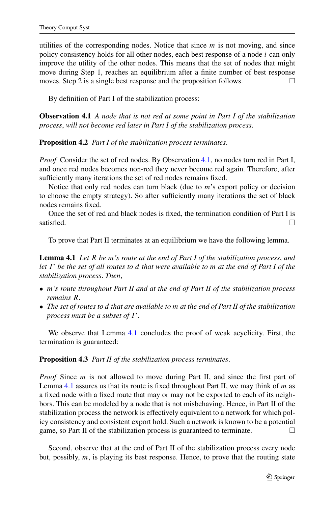<span id="page-10-0"></span>utilities of the corresponding nodes. Notice that since *m* is not moving, and since policy consistency holds for all other nodes, each best response of a node *i* can only improve the utility of the other nodes. This means that the set of nodes that might move during Step 1, reaches an equilibrium after a finite number of best response moves. Step 2 is a single best response and the proposition follows.  $\Box$ 

By definition of Part I of the stabilization process:

**Observation 4.1** *A node that is not red at some point in Part I of the stabilization process*, *will not become red later in Part I of the stabilization process*.

**Proposition 4.2** *Part I of the stabilization process terminates*.

*Proof* Consider the set of red nodes. By Observation [4.1](#page-10-0), no nodes turn red in Part I, and once red nodes becomes non-red they never become red again. Therefore, after sufficiently many iterations the set of red nodes remains fixed.

<span id="page-10-1"></span>Notice that only red nodes can turn black (due to *m*'s export policy or decision to choose the empty strategy). So after sufficiently many iterations the set of black nodes remains fixed.

Once the set of red and black nodes is fixed, the termination condition of Part I is satisfied.  $\Box$ 

To prove that Part II terminates at an equilibrium we have the following lemma.

**Lemma 4.1** *Let R be m's route at the end of Part I of the stabilization process*, *and let Γ be the set of all routes to d that were available to m at the end of Part I of the stabilization process*. *Then*,

- *m's route throughout Part II and at the end of Part II of the stabilization process remains R*.
- *The set of routes to d that are available to m at the end of Part II of the stabilization process must be a subset of Γ* .

We observe that Lemma [4.1](#page-10-1) concludes the proof of weak acyclicity. First, the termination is guaranteed:

#### **Proposition 4.3** *Part II of the stabilization process terminates*.

*Proof* Since *m* is not allowed to move during Part II, and since the first part of Lemma [4.1](#page-10-1) assures us that its route is fixed throughout Part II, we may think of *m* as a fixed node with a fixed route that may or may not be exported to each of its neighbors. This can be modeled by a node that is not misbehaving. Hence, in Part II of the stabilization process the network is effectively equivalent to a network for which policy consistency and consistent export hold. Such a network is known to be a potential game, so Part II of the stabilization process is guaranteed to terminate.  $\Box$ 

Second, observe that at the end of Part II of the stabilization process every node but, possibly, *m*, is playing its best response. Hence, to prove that the routing state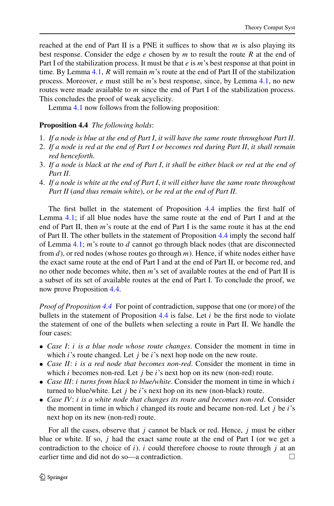<span id="page-11-0"></span>reached at the end of Part II is a PNE it suffices to show that  $m$  is also playing its best response. Consider the edge *e* chosen by *m* to result the route *R* at the end of Part I of the stabilization process. It must be that *e* is *m*'s best response at that point in time. By Lemma [4.1,](#page-10-1) *R* will remain *m*'s route at the end of Part II of the stabilization process. Moreover, *e* must still be *m*'s best response, since, by Lemma [4.1,](#page-10-1) no new routes were made available to *m* since the end of Part I of the stabilization process. This concludes the proof of weak acyclicity.

Lemma [4.1](#page-10-1) now follows from the following proposition:

#### **Proposition 4.4** *The following holds*:

- 1. *If a node is blue at the end of Part I*, *it will have the same route throughout Part II*.
- 2. *If a node is red at the end of Part I or becomes red during Part II*, *it shall remain red henceforth*.
- 3. *If a node is black at the end of Part I*, *it shall be either black or red at the end of Part II*.
- 4. *If a node is white at the end of Part I*, *it will either have the same route throughout Part II* (*and thus remain white*), *or be red at the end of Part II*.

The first bullet in the statement of Proposition [4.4](#page-11-0) implies the first half of Lemma [4.1](#page-10-1); if all blue nodes have the same route at the end of Part I and at the end of Part II, then *m*'s route at the end of Part I is the same route it has at the end of Part II. The other bullets in the statement of Proposition [4.4](#page-11-0) imply the second half of Lemma [4.1;](#page-10-1) *m*'s route to *d* cannot go through black nodes (that are disconnected from *d*), or red nodes (whose routes go through *m*). Hence, if white nodes either have the exact same route at the end of Part I and at the end of Part II, or become red, and no other node becomes white, then *m*'s set of available routes at the end of Part II is a subset of its set of available routes at the end of Part I. To conclude the proof, we now prove Proposition [4.4.](#page-11-0)

*Proof of Proposition [4.4](#page-11-0)* For point of contradiction, suppose that one (or more) of the bullets in the statement of Proposition [4.4](#page-11-0) is false. Let *i* be the first node to violate the statement of one of the bullets when selecting a route in Part II. We handle the four cases:

- *Case I*: *i is a blue node whose route changes*. Consider the moment in time in which *i*'s route changed. Let *j* be *i*'s next hop node on the new route.
- *Case II*: *i is a red node that becomes non-red*. Consider the moment in time in which *i* becomes non-red. Let *j* be *i*'s next hop on its new (non-red) route.
- *Case III*: *i turns from black to blue/white*. Consider the moment in time in which *i* turned to blue/white. Let *j* be *i*'s next hop on its new (non-black) route.
- *Case IV*: *i is a white node that changes its route and becomes non-red*. Consider the moment in time in which *i* changed its route and became non-red. Let *j* be *i*'s next hop on its new (non-red) route.

For all the cases, observe that *j* cannot be black or red. Hence, *j* must be either blue or white. If so, *j* had the exact same route at the end of Part I (or we get a contradiction to the choice of *i*). *i* could therefore choose to route through *j* at an earlier time and did not do so—a contradiction.  $\Box$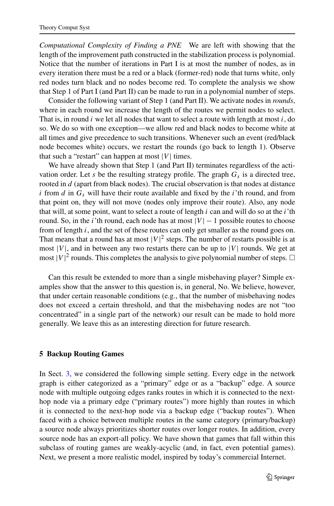*Computational Complexity of Finding a PNE* We are left with showing that the length of the improvement path constructed in the stabilization process is polynomial. Notice that the number of iterations in Part I is at most the number of nodes, as in every iteration there must be a red or a black (former-red) node that turns white, only red nodes turn black and no nodes become red. To complete the analysis we show that Step 1 of Part I (and Part II) can be made to run in a polynomial number of steps.

Consider the following variant of Step 1 (and Part II). We activate nodes in *rounds*, where in each round we increase the length of the routes we permit nodes to select. That is, in round *i* we let all nodes that want to select a route with length at most *i*, do so. We do so with one exception—we allow red and black nodes to become white at all times and give precedence to such transitions. Whenever such an event (red/black node becomes white) occurs, we restart the rounds (go back to length 1). Observe that such a "restart" can happen at most  $|V|$  times.

We have already shown that Step 1 (and Part II) terminates regardless of the activation order. Let *s* be the resulting strategy profile. The graph  $G_s$  is a directed tree, rooted in *d* (apart from black nodes). The crucial observation is that nodes at distance *i* from *d* in  $G_s$  will have their route available and fixed by the *i*'th round, and from that point on, they will not move (nodes only improve their route). Also, any node that will, at some point, want to select a route of length *i* can and will do so at the *i*'th round. So, in the *i*'th round, each node has at most  $|V| - 1$  possible routes to choose from of length *i*, and the set of these routes can only get smaller as the round goes on. That means that a round has at most  $|V|^2$  steps. The number of restarts possible is at most  $|V|$ , and in between any two restarts there can be up to  $|V|$  rounds. We get at most  $|V|^2$  rounds. This completes the analysis to give polynomial number of steps.  $\Box$ 

<span id="page-12-0"></span>Can this result be extended to more than a single misbehaving player? Simple examples show that the answer to this question is, in general, No. We believe, however, that under certain reasonable conditions (e.g., that the number of misbehaving nodes does not exceed a certain threshold, and that the misbehaving nodes are not "too concentrated" in a single part of the network) our result can be made to hold more generally. We leave this as an interesting direction for future research.

#### **5 Backup Routing Games**

In Sect. [3,](#page-5-0) we considered the following simple setting. Every edge in the network graph is either categorized as a "primary" edge or as a "backup" edge. A source node with multiple outgoing edges ranks routes in which it is connected to the nexthop node via a primary edge ("primary routes") more highly than routes in which it is connected to the next-hop node via a backup edge ("backup routes"). When faced with a choice between multiple routes in the same category (primary/backup) a source node always prioritizes shorter routes over longer routes. In addition, every source node has an export-all policy. We have shown that games that fall within this subclass of routing games are weakly-acyclic (and, in fact, even potential games). Next, we present a more realistic model, inspired by today's commercial Internet.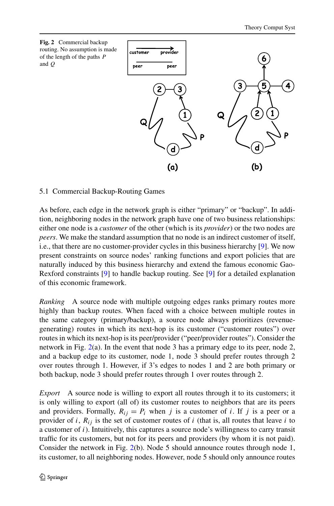<span id="page-13-0"></span>

# 5.1 Commercial Backup-Routing Games

As before, each edge in the network graph is either "primary" or "backup". In addition, neighboring nodes in the network graph have one of two business relationships: either one node is a *customer* of the other (which is its *provider*) or the two nodes are *peers*. We make the standard assumption that no node is an indirect customer of itself, i.e., that there are no customer-provider cycles in this business hierarchy [\[9](#page-20-2)]. We now present constraints on source nodes' ranking functions and export policies that are naturally induced by this business hierarchy and extend the famous economic Gao-Rexford constraints [[9\]](#page-20-2) to handle backup routing. See [[9\]](#page-20-2) for a detailed explanation of this economic framework.

*Ranking* A source node with multiple outgoing edges ranks primary routes more highly than backup routes. When faced with a choice between multiple routes in the same category (primary/backup), a source node always prioritizes (revenuegenerating) routes in which its next-hop is its customer ("customer routes") over routes in which its next-hop is its peer/provider ("peer/provider routes"). Consider the network in Fig. [2](#page-13-0)(a). In the event that node 3 has a primary edge to its peer, node 2, and a backup edge to its customer, node 1, node 3 should prefer routes through 2 over routes through 1. However, if 3's edges to nodes 1 and 2 are both primary or both backup, node 3 should prefer routes through 1 over routes through 2.

*Export* A source node is willing to export all routes through it to its customers; it is only willing to export (all of) its customer routes to neighbors that are its peers and providers. Formally,  $R_{ij} = P_i$  when *j* is a customer of *i*. If *j* is a peer or a provider of  $i$ ,  $R_{ij}$  is the set of customer routes of  $i$  (that is, all routes that leave  $i$  to a customer of *i*). Intuitively, this captures a source node's willingness to carry transit traffic for its customers, but not for its peers and providers (by whom it is not paid). Consider the network in Fig. [2](#page-13-0)(b). Node 5 should announce routes through node 1, its customer, to all neighboring nodes. However, node 5 should only announce routes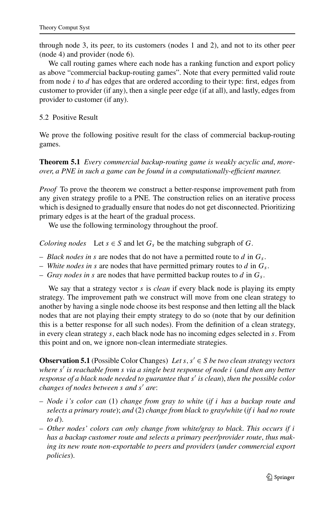through node 3, its peer, to its customers (nodes 1 and 2), and not to its other peer (node 4) and provider (node 6).

We call routing games where each node has a ranking function and export policy as above "commercial backup-routing games". Note that every permitted valid route from node *i* to *d* has edges that are ordered according to their type: first, edges from customer to provider (if any), then a single peer edge (if at all), and lastly, edges from provider to customer (if any).

#### 5.2 Positive Result

We prove the following positive result for the class of commercial backup-routing games.

**Theorem 5.1** *Every commercial backup-routing game is weakly acyclic and*, *moreover*, *a PNE in such a game can be found in a computationally-efficient manner*.

*Proof* To prove the theorem we construct a better-response improvement path from any given strategy profile to a PNE. The construction relies on an iterative process which is designed to gradually ensure that nodes do not get disconnected. Prioritizing primary edges is at the heart of the gradual process.

We use the following terminology throughout the proof.

*Coloring nodes* Let  $s \in S$  and let  $G_s$  be the matching subgraph of G.

- *Black nodes in s* are nodes that do not have a permitted route to *d* in *Gs*.
- *White nodes in s* are nodes that have permitted primary routes to *d* in *Gs*.
- *Gray nodes in s* are nodes that have permitted backup routes to *d* in *Gs*.

<span id="page-14-0"></span>We say that a strategy vector *s* is *clean* if every black node is playing its empty strategy. The improvement path we construct will move from one clean strategy to another by having a single node choose its best response and then letting all the black nodes that are not playing their empty strategy to do so (note that by our definition this is a better response for all such nodes). From the definition of a clean strategy, in every clean strategy *s*, each black node has no incoming edges selected in *s*. From this point and on, we ignore non-clean intermediate strategies.

**Observation 5.1** (Possible Color Changes) *Let*  $s, s' \in S$  *be two clean strategy vectors where s is reachable from s via a single best response of node i* (*and then any better response of a black node needed to guarantee that*  $s'$  *is clean*), *then the possible color changes of nodes between s and s are*:

- *Node i's color can* (1) *change from gray to white* (*if i has a backup route and selects a primary route*); *and* (2) *change from black to gray/white* (*if i had no route to d*).
- *Other nodes' colors can only change from white/gray to black*. *This occurs if i* has a backup customer route and selects a primary peer/provider route, thus mak*ing its new route non-exportable to peers and providers* (*under commercial export policies*).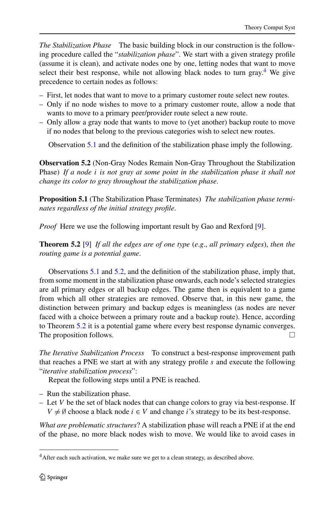*The Stabilization Phase* The basic building block in our construction is the following procedure called the "*stabilization phase*". We start with a given strategy profile (assume it is clean), and activate nodes one by one, letting nodes that want to move select their best response, while not allowing black nodes to turn gray.<sup>[4](#page-15-0)</sup> We give precedence to certain nodes as follows:

- First, let nodes that want to move to a primary customer route select new routes.
- <span id="page-15-1"></span>– Only if no node wishes to move to a primary customer route, allow a node that wants to move to a primary peer/provider route select a new route.
- Only allow a gray node that wants to move to (yet another) backup route to move if no nodes that belong to the previous categories wish to select new routes.

<span id="page-15-3"></span>Observation [5.1](#page-14-0) and the definition of the stabilization phase imply the following.

<span id="page-15-2"></span>**Observation 5.2** (Non-Gray Nodes Remain Non-Gray Throughout the Stabilization Phase) *If a node i is not gray at some point in the stabilization phase it shall not change its color to gray throughout the stabilization phase*.

**Proposition 5.1** (The Stabilization Phase Terminates) *The stabilization phase terminates regardless of the initial strategy profile*.

*Proof* Here we use the following important result by Gao and Rexford [[9\]](#page-20-2).

**Theorem 5.2** [\[9](#page-20-2)] *If all the edges are of one type* (*e*.*g*., *all primary edges*), *then the routing game is a potential game*.

Observations [5.1](#page-14-0) and [5.2](#page-15-1), and the definition of the stabilization phase, imply that, from some moment in the stabilization phase onwards, each node's selected strategies are all primary edges or all backup edges. The game then is equivalent to a game from which all other strategies are removed. Observe that, in this new game, the distinction between primary and backup edges is meaningless (as nodes are never faced with a choice between a primary route and a backup route). Hence, according to Theorem [5.2](#page-15-2) it is a potential game where every best response dynamic converges. The proposition follows.  $\Box$ 

*The Iterative Stabilization Process* To construct a best-response improvement path that reaches a PNE we start at with any strategy profile *s* and execute the following "*iterative stabilization process*":

Repeat the following steps until a PNE is reached.

- <span id="page-15-0"></span>– Run the stabilization phase.
- Let *V* be the set of black nodes that can change colors to gray via best-response. If *V*  $\neq$  Ø choose a black node *i* ∈ *V* and change *i*'s strategy to be its best-response.

*What are problematic structures*? A stabilization phase will reach a PNE if at the end of the phase, no more black nodes wish to move. We would like to avoid cases in

<sup>&</sup>lt;sup>4</sup> After each such activation, we make sure we get to a clean strategy, as described above.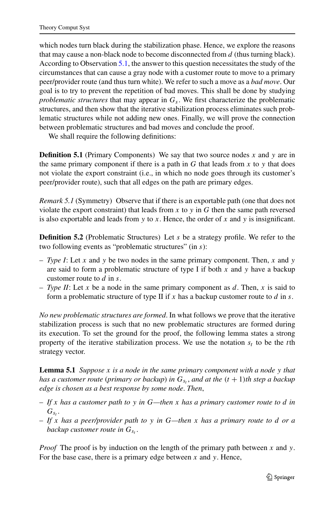which nodes turn black during the stabilization phase. Hence, we explore the reasons that may cause a non-black node to become disconnected from *d* (thus turning black). According to Observation [5.1](#page-14-0), the answer to this question necessitates the study of the circumstances that can cause a gray node with a customer route to move to a primary peer/provider route (and thus turn white). We refer to such a move as a *bad move*. Our goal is to try to prevent the repetition of bad moves. This shall be done by studying *problematic structures* that may appear in *Gs*. We first characterize the problematic structures, and then show that the iterative stabilization process eliminates such problematic structures while not adding new ones. Finally, we will prove the connection between problematic structures and bad moves and conclude the proof.

We shall require the following definitions:

**Definition 5.1** (Primary Components) We say that two source nodes *x* and *y* are in the same primary component if there is a path in  $G$  that leads from  $x$  to  $y$  that does not violate the export constraint (i.e., in which no node goes through its customer's peer/provider route), such that all edges on the path are primary edges.

*Remark 5.1* (Symmetry) Observe that if there is an exportable path (one that does not violate the export constraint) that leads from  $x$  to  $y$  in  $G$  then the same path reversed is also exportable and leads from *y* to *x*. Hence, the order of *x* and *y* is insignificant.

**Definition 5.2** (Problematic Structures) Let *s* be a strategy profile. We refer to the two following events as "problematic structures" (in *s*):

- *Type I*: Let *x* and *y* be two nodes in the same primary component. Then, *x* and *y* are said to form a problematic structure of type I if both *x* and *y* have a backup customer route to *d* in *s*.
- *Type II*: Let *x* be a node in the same primary component as *d*. Then, *x* is said to form a problematic structure of type II if *x* has a backup customer route to *d* in *s*.

<span id="page-16-0"></span>*No new problematic structures are formed*. In what follows we prove that the iterative stabilization process is such that no new problematic structures are formed during its execution. To set the ground for the proof, the following lemma states a strong property of the iterative stabilization process. We use the notation  $s_t$  to be the *t*th strategy vector.

**Lemma 5.1** *Suppose x is a node in the same primary component with a node y that has a customer route* (*primary or backup*) *in*  $G_{s_t}$ *, and at the*  $(t + 1)$ *th step a backup edge is chosen as a best response by some node*. *Then*,

- *If x has a customer path to y in G—then x has a primary customer route to d in*  $G_{s_t}$ .
- *If x has a peer/provider path to y in G—then x has a primary route to d or a backup customer route in*  $G_{s_t}$ .

*Proof* The proof is by induction on the length of the primary path between *x* and *y*. For the base case, there is a primary edge between *x* and *y*. Hence,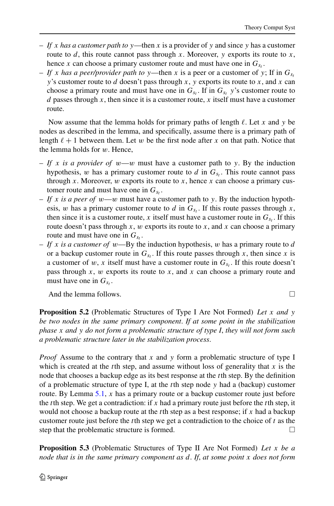- *If x has a customer path to y*—then *x* is a provider of *y* and since *y* has a customer route to  $d$ , this route cannot pass through  $x$ . Moreover,  $y$  exports its route to  $x$ , hence *x* can choose a primary customer route and must have one in  $G<sub>s</sub>$ .
- $-If$  *x* has a peer/provider path to y—then *x* is a peer or a customer of y; If in  $G_{s_t}$ *y*'s customer route to *d* doesn't pass through *x*, *y* exports its route to *x*, and *x* can choose a primary route and must have one in  $G_{s_t}$ . If in  $G_{s_t}$  *y*'s customer route to *d* passes through *x*, then since it is a customer route, *x* itself must have a customer route.

Now assume that the lemma holds for primary paths of length  $\ell$ . Let *x* and *y* be nodes as described in the lemma, and specifically, assume there is a primary path of length  $\ell + 1$  between them. Let *w* be the first node after *x* on that path. Notice that the lemma holds for *w*. Hence,

- $-$  *If x is a provider of*  $w$ — $w$  must have a customer path to *y*. By the induction hypothesis, *w* has a primary customer route to *d* in  $G_s$ . This route cannot pass through *x*. Moreover, *w* exports its route to *x*, hence *x* can choose a primary customer route and must have one in  $G_s$ .
- $-If$  *x* is a peer of w—w must have a customer path to y. By the induction hypothesis, *w* has a primary customer route to *d* in  $G<sub>s<sub>t</sub></sub>$ . If this route passes through *x*, then since it is a customer route, *x* itself must have a customer route in  $G_s$ . If this route doesn't pass through *x*, *w* exports its route to *x*, and *x* can choose a primary route and must have one in  $G<sub>s</sub>$ .
- *If x is a customer of w*—By the induction hypothesis, *w* has a primary route to *d* or a backup customer route in  $G_{s_t}$ . If this route passes through x, then since x is a customer of *w*, *x* itself must have a customer route in  $G_{s_t}$ . If this route doesn't pass through *x*, *w* exports its route to *x*, and *x* can choose a primary route and must have one in  $G_{s_t}$ .

And the lemma follows.

**Proposition 5.2** (Problematic Structures of Type I Are Not Formed) *Let x and y be two nodes in the same primary component*. *If at some point in the stabilization phase x and y do not form a problematic structure of type I*, *they will not form such a problematic structure later in the stabilization process*.

*Proof* Assume to the contrary that *x* and *y* form a problematic structure of type I which is created at the *t*th step, and assume without loss of generality that *x* is the node that chooses a backup edge as its best response at the *t*th step. By the definition of a problematic structure of type I, at the *t*th step node *y* had a (backup) customer route. By Lemma [5.1,](#page-16-0) *x* has a primary route or a backup customer route just before the *t*th step. We get a contradiction: if *x* had a primary route just before the *t*th step, it would not choose a backup route at the *t*th step as a best response; if *x* had a backup customer route just before the *t*th step we get a contradiction to the choice of *t* as the step that the problematic structure is formed.  $\Box$ 

**Proposition 5.3** (Problematic Structures of Type II Are Not Formed) *Let x be a node that is in the same primary component as d*. *If*, *at some point x does not form*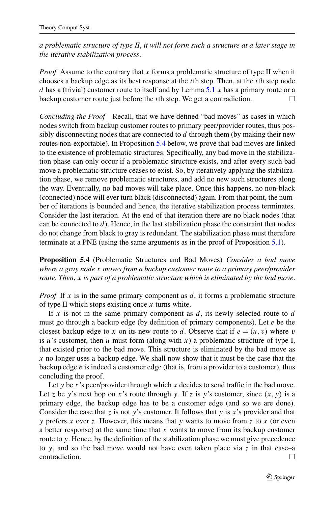*a problematic structure of type II*, *it will not form such a structure at a later stage in the iterative stabilization process*.

*Proof* Assume to the contrary that *x* forms a problematic structure of type II when it chooses a backup edge as its best response at the *t*th step. Then, at the *t*th step node *d* has a (trivial) customer route to itself and by Lemma [5.1](#page-16-0) *x* has a primary route or a backup customer route just before the *t*th step. We get a contradiction.  $\Box$ 

*Concluding the Proof* Recall, that we have defined "bad moves" as cases in which nodes switch from backup customer routes to primary peer/provider routes, thus possibly disconnecting nodes that are connected to *d* through them (by making their new routes non-exportable). In Proposition [5.4](#page-18-0) below, we prove that bad moves are linked to the existence of problematic structures. Specifically, any bad move in the stabilization phase can only occur if a problematic structure exists, and after every such bad move a problematic structure ceases to exist. So, by iteratively applying the stabilization phase, we remove problematic structures, and add no new such structures along the way. Eventually, no bad moves will take place. Once this happens, no non-black (connected) node will ever turn black (disconnected) again. From that point, the number of iterations is bounded and hence, the iterative stabilization process terminates. Consider the last iteration. At the end of that iteration there are no black nodes (that can be connected to *d*). Hence, in the last stabilization phase the constraint that nodes do not change from black to gray is redundant. The stabilization phase must therefore terminate at a PNE (using the same arguments as in the proof of Proposition [5.1](#page-15-3)).

<span id="page-18-0"></span>**Proposition 5.4** (Problematic Structures and Bad Moves) *Consider a bad move where a gray node x moves from a backup customer route to a primary peer/provider route*. *Then*, *x is part of a problematic structure which is eliminated by the bad move*.

*Proof* If *x* is in the same primary component as *d*, it forms a problematic structure of type II which stops existing once *x* turns white.

If  $x$  is not in the same primary component as  $d$ , its newly selected route to  $d$ must go through a backup edge (by definition of primary components). Let *e* be the closest backup edge to *x* on its new route to *d*. Observe that if  $e = (u, v)$  where *v* is  $u$ 's customer, then  $u$  must form (along with  $x$ ) a problematic structure of type I, that existed prior to the bad move. This structure is eliminated by the bad move as *x* no longer uses a backup edge. We shall now show that it must be the case that the backup edge *e* is indeed a customer edge (that is, from a provider to a customer), thus concluding the proof.

Let *y* be *x*'s peer/provider through which *x* decides to send traffic in the bad move. Let *z* be *y*'s next hop on *x*'s route through *y*. If *z* is *y*'s customer, since  $(x, y)$  is a primary edge, the backup edge has to be a customer edge (and so we are done). Consider the case that *z* is not *y*'s customer. It follows that *y* is *x*'s provider and that *y* prefers *x* over *z*. However, this means that *y* wants to move from *z* to *x* (or even a better response) at the same time that *x* wants to move from its backup customer route to *y*. Hence, by the definition of the stabilization phase we must give precedence to *y*, and so the bad move would not have even taken place via *z* in that case–a  $\Box$  contradiction.  $\Box$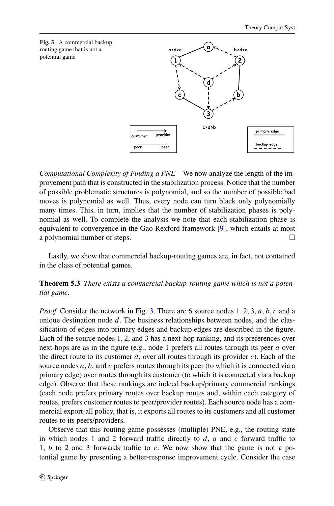<span id="page-19-0"></span>



*Computational Complexity of Finding a PNE* We now analyze the length of the improvement path that is constructed in the stabilization process. Notice that the number of possible problematic structures is polynomial, and so the number of possible bad moves is polynomial as well. Thus, every node can turn black only polynomially many times. This, in turn, implies that the number of stabilization phases is polynomial as well. To complete the analysis we note that each stabilization phase is equivalent to convergence in the Gao-Rexford framework [\[9](#page-20-2)], which entails at most a polynomial number of steps.  $\Box$ 

Lastly, we show that commercial backup-routing games are, in fact, not contained in the class of potential games.

**Theorem 5.3** *There exists a commercial backup-routing game which is not a potential game*.

*Proof* Consider the network in Fig. [3.](#page-19-0) There are 6 source nodes 1*,* 2*,* 3*,a,b,c* and a unique destination node *d*. The business relationships between nodes, and the classification of edges into primary edges and backup edges are described in the figure. Each of the source nodes 1*,* 2, and 3 has a next-hop ranking, and its preferences over next-hops are as in the figure (e.g., node 1 prefers all routes through its peer *a* over the direct route to its customer  $d$ , over all routes through its provider  $c$ ). Each of the source nodes *a,b*, and *c* prefers routes through its peer (to which it is connected via a primary edge) over routes through its customer (to which it is connected via a backup edge). Observe that these rankings are indeed backup/primary commercial rankings (each node prefers primary routes over backup routes and, within each category of routes, prefers customer routes to peer/provider routes). Each source node has a commercial export-all policy, that is, it exports all routes to its customers and all customer routes to its peers/providers.

Observe that this routing game possesses (multiple) PNE, e.g., the routing state in which nodes 1 and 2 forward traffic directly to *d*, *a* and *c* forward traffic to 1, *b* to 2 and 3 forwards traffic to *c*. We now show that the game is not a potential game by presenting a better-response improvement cycle. Consider the case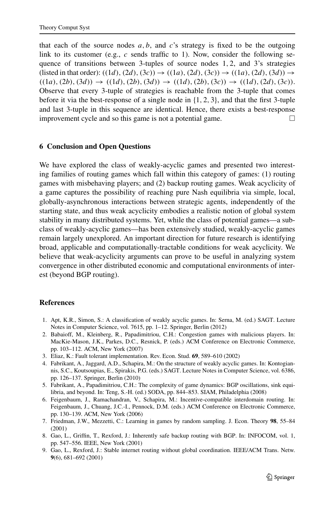<span id="page-20-8"></span>that each of the source nodes  $a, b$ , and  $c$ 's strategy is fixed to be the outgoing link to its customer (e.g., *c* sends traffic to 1). Now, consider the following sequence of transitions between 3-tuples of source nodes 1*,* 2, and 3's strategies  $(listed \in (1a), (2d), (2d), (3c)) \rightarrow ((1a), (2d), (3c)) \rightarrow ((1a), (2d), (3d)) \rightarrow$  $((1a), (2b), (3d)) \rightarrow ((1d), (2b), (3d)) \rightarrow ((1d), (2b), (3c)) \rightarrow ((1d), (2d), (3c)).$ Observe that every 3-tuple of strategies is reachable from the 3-tuple that comes before it via the best-response of a single node in {1*,* 2*,* 3}, and that the first 3-tuple and last 3-tuple in this sequence are identical. Hence, there exists a best-response improvement cycle and so this game is not a potential game.  $\Box$ 

#### **6 Conclusion and Open Questions**

We have explored the class of weakly-acyclic games and presented two interesting families of routing games which fall within this category of games: (1) routing games with misbehaving players; and (2) backup routing games. Weak acyclicity of a game captures the possibility of reaching pure Nash equilibria via simple, local, globally-asynchronous interactions between strategic agents, independently of the starting state, and thus weak acyclicity embodies a realistic notion of global system stability in many distributed systems. Yet, while the class of potential games—a subclass of weakly-acyclic games—has been extensively studied, weakly-acyclic games remain largely unexplored. An important direction for future research is identifying broad, applicable and computationally-tractable conditions for weak acyclicity. We believe that weak-acyclicity arguments can prove to be useful in analyzing system convergence in other distributed economic and computational environments of interest (beyond BGP routing).

#### <span id="page-20-7"></span><span id="page-20-5"></span><span id="page-20-4"></span><span id="page-20-1"></span><span id="page-20-0"></span>**References**

- 1. Apt, K.R., Simon, S.: A classification of weakly acyclic games. In: Serna, M. (ed.) SAGT. Lecture Notes in Computer Science, vol. 7615, pp. 1–12. Springer, Berlin (2012)
- <span id="page-20-9"></span>2. Babaioff, M., Kleinberg, R., Papadimitriou, C.H.: Congestion games with malicious players. In: MacKie-Mason, J.K., Parkes, D.C., Resnick, P. (eds.) ACM Conference on Electronic Commerce, pp. 103–112. ACM, New York (2007)
- <span id="page-20-6"></span>3. Eliaz, K.: Fault tolerant implementation. Rev. Econ. Stud. **69**, 589–610 (2002)
- <span id="page-20-3"></span>4. Fabrikant, A., Jaggard, A.D., Schapira, M.: On the structure of weakly acyclic games. In: Kontogiannis, S.C., Koutsoupias, E., Spirakis, P.G. (eds.) SAGT. Lecture Notes in Computer Science, vol. 6386, pp. 126–137. Springer, Berlin (2010)
- <span id="page-20-2"></span>5. Fabrikant, A., Papadimitriou, C.H.: The complexity of game dynamics: BGP oscillations, sink equilibria, and beyond. In: Teng, S.-H. (ed.) SODA, pp. 844–853. SIAM, Philadelphia (2008)
- 6. Feigenbaum, J., Ramachandran, V., Schapira, M.: Incentive-compatible interdomain routing. In: Feigenbaum, J., Chuang, J.C.-I., Pennock, D.M. (eds.) ACM Conference on Electronic Commerce, pp. 130–139. ACM, New York (2006)
- 7. Friedman, J.W., Mezzetti, C.: Learning in games by random sampling. J. Econ. Theory **98**, 55–84 (2001)
- 8. Gao, L., Griffin, T., Rexford, J.: Inherently safe backup routing with BGP. In: INFOCOM, vol. 1, pp. 547–556. IEEE, New York (2001)
- 9. Gao, L., Rexford, J.: Stable internet routing without global coordination. IEEE/ACM Trans. Netw. **9**(6), 681–692 (2001)